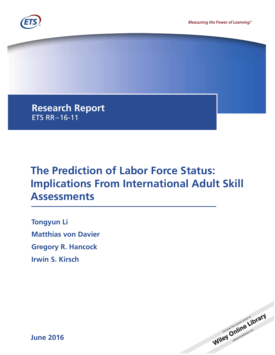

**Research Report** ETS RR–16-11

# **The Prediction of Labor Force Status: Implications From International Adult Skill Assessments**

**Tongyun Li Matthias von Davier Gregory R. Hancock Irwin S. Kirsch**

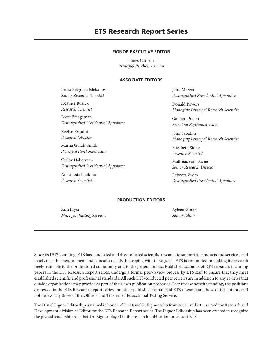## **ETS Research Report Series**

#### **EIGNOR EXECUTIVE EDITOR**

James Carlson *Principal Psychometrician*

#### **ASSOCIATE EDITORS**

Beata Beigman Klebanov *Senior Research Scientist*

Heather Buzick *Research Scientist*

Brent Bridgeman *Distinguished Presidential Appointee*

Keelan Evanini *Research Director*

Marna Golub-Smith *Principal Psychometrician*

Shelby Haberman *Distinguished Presidential Appointee*

Anastassia Loukina *Research Scientist*

John Mazzeo *Distinguished Presidential Appointee*

Donald Powers *Managing Principal Research Scientist*

Gautam Puhan *Principal Psychometrician*

John Sabatini *Managing Principal Research Scientist*

Elizabeth Stone *Research Scientist*

Matthias von Davier *Senior Research Director*

Rebecca Zwick *Distinguished Presidential Appointee*

#### **PRODUCTION EDITORS**

Kim Fryer *Manager, Editing Services* Ayleen Gontz *Senior Editor*

Since its 1947 founding, ETS has conducted and disseminated scientific research to support its products and services, and to advance the measurement and education fields. In keeping with these goals, ETS is committed to making its research freely available to the professional community and to the general public. Published accounts of ETS research, including papers in the ETS Research Report series, undergo a formal peer-review process by ETS staff to ensure that they meet established scientific and professional standards. All such ETS-conducted peer reviews are in addition to any reviews that outside organizations may provide as part of their own publication processes. Peer review notwithstanding, the positions expressed in the ETS Research Report series and other published accounts of ETS research are those of the authors and not necessarily those of the Officers and Trustees of Educational Testing Service.

The Daniel Eignor Editorship is named in honor of Dr. Daniel R. Eignor, who from 2001 until 2011 served the Research and Development division as Editor for the ETS Research Report series. The Eignor Editorship has been created to recognize the pivotal leadership role that Dr. Eignor played in the research publication process at ETS.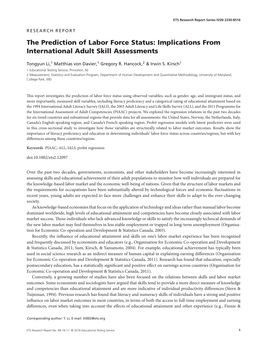#### RESEARCH REPORT

# **The Prediction of Labor Force Status: Implications From International Adult Skill Assessments**

Tongyun Li,<sup>1</sup> Matthias von Davier,<sup>1</sup> Gregory R. Hancock,<sup>2</sup> & Irwin S. Kirsch<sup>1</sup>

1 Educational Testing Service, Princeton, NJ

2 Measurement, Statistics and Evaluation Program, Department of Human Development and Quantitative Methodology, University of Maryland, College Park, MD

This report investigates the prediction of labor force status using observed variables, such as gender, age, and immigrant status, and more importantly, measured skill variables, including literacy proficiency and a categorical rating of educational attainment based on the 1994 International Adult Literacy Survey (IALS), the 2003 Adult Literacy and Life Skills Survey (ALL), and the 2011 Programme for the International Assessment of Adult Competencies (PIAAC) projects. We explored the regression relations in the past two decades for six trend countries and subnational regions that provide data for all assessments: the United States, Norway, the Netherlands, Italy, Canada's English-speaking region, and Canada's French-speaking region. Probit regression models with latent predictors were used in this cross-sectional study to investigate how those variables are structurally related to labor market outcomes. Results show the importance of literacy proficiency and education in determining individuals' labor force status across countries/regions, but with key differences among these countries/regions.

**Keywords** PIAAC; ALL; IALS; probit regression

doi:10.1002/ets2.12097

Over the past two decades, governments, economists, and other stakeholders have become increasingly interested in assessing skills and educational achievement of their adult populations to monitor how well individuals are prepared for the knowledge-based labor market and the economic well-being of nations. Given that the structure of labor markets and the requirements for occupations have been substantially altered by technological forces and economic fluctuations in recent years, young adults are expected to face more challenges and enhance their skills to adapt to the ever-changing society.

As knowledge-based economies that focus on the application of technology and ideas rather than manual labor become dominant worldwide, high levels of educational attainment and competencies have become closely associated with labor market success. Those individuals who lack advanced knowledge or skills to satisfy the increasingly technical demands of the new labor market may find themselves in less stable employment or trapped in long-term unemployment (Organisation for Economic Co-operation and Development & Statistics Canada, 2005).

Recently, the influence of educational attainment and skills on one's labor market experience has been recognized and frequently discussed by economists and educators (e.g., Organisation for Economic Co-operation and Development & Statistics Canada, 2011; Sum, Kirsch, & Yamamoto, 2004). For example, educational achievement has typically been used in social science research as an indirect measure of human capital in explaining earning differences (Organisation for Economic Co-operation and Development & Statistics Canada, 2011). Research has found that education, especially postsecondary education, has a statistically significant and positive effect on earnings across countries (Organisation for Economic Co-operation and Development & Statistics Canada, 2011).

Conversely, a growing number of studies have also been focused on the relations between skills and labor market outcomes. Some economists and sociologists have argued that skills tend to provide a more direct measure of knowledge and competencies than educational attainment and are more indicative of individual productivity differences (Stern & Tuijnman, 1994). Previous research has found that literacy and numeracy skills of individuals have a strong and positive influence on labor market outcomes in most countries, in terms of both the access to full-time employment and earning differences, even when taking into account the effects of educational attainment and other experience (e.g., Finnie &

*Corresponding author:* T. Li, E-mail: tli002@ets.org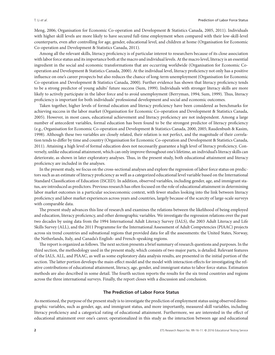Meng, 2006; Organisation for Economic Co-operation and Development & Statistics Canada, 2005, 2011). Individuals with higher skill levels are more likely to have secured full-time employment when compared with their low-skill-level counterparts, even after controlling for age, gender, educational level, and children at home (Organisation for Economic Co-operation and Development & Statistics Canada, 2011).

Among all the relevant skills, literacy proficiency is of particular interest to researchers because of its close association with labor force status and its importance both at the macro and individual levels. At the macro level, literacy is an essential ingredient in the social and economic transformations that are occurring worldwide (Organisation for Economic Cooperation and Development & Statistics Canada, 2000). At the individual level, literacy proficiency not only has a positive influence on one's career prospects but also reduces the chance of long-term unemployment (Organisation for Economic Co-operation and Development & Statistics Canada, 2000). Further evidence has shown that literacy proficiency tends to be a strong predictor of young adults' future success (Sum, 1999). Individuals with stronger literacy skills are more likely to actively participate in the labor force and to avoid unemployment (Berryman, 1994; Sum, 1999). Thus, literacy proficiency is important for both individuals' professional development and social and economic outcomes.

Taken together, higher levels of formal education and literacy proficiency have been considered as benchmarks for achieving success in the labor market (Organisation for Economic Co-operation and Development & Statistics Canada, 2005). However, in most cases, educational achievement and literacy proficiency are not independent. Among a large number of antecedent variables, formal education has been found to be the strongest predictor of literacy proficiency (e.g., Organisation for Economic Co-operation and Development & Statistics Canada, 2000, 2005; Raudenbush & Kasim, 1998). Although these two variables are closely related, their relation is not perfect, and the magnitude of their correlation tends to differ by time and country (Organisation for Economic Co-operation and Development & Statistics Canada, 2011). Attaining a high level of formal education does not necessarily guarantee a high level of literacy proficiency. Conversely, unlike educational attainment, which can only improve throughout one's lifetime, an individual's literacy skills can deteriorate, as shown in later exploratory analyses. Thus, in the present study, both educational attainment and literacy proficiency are included in the analyses.

In the present study, we focus on the cross-sectional analyses and explore the regression of labor force status on predictors such as an estimate of literacy proficiency as well as a categorized educational level variable based on the International Standard Classification of Education (ISCED). In addition, observed variables, including gender, age, and immigrant status, are introduced as predictors. Previous research has often focused on the role of educational attainment in determining labor market outcomes in a particular socioeconomic context, with fewer studies looking into the link between literacy proficiency and labor market experiences across years and countries, largely because of the scarcity of large-scale surveys with comparable data.

The present study advances this line of research and examines the relations between the likelihood of being employed and education, literacy proficiency, and other demographic variables. We investigate the regression relations over the past two decades by using data from the 1994 International Adult Literacy Survey (IALS), the 2003 Adult Literacy and Life Skills Survey (ALL), and the 2011 Programme for the International Assessment of Adult Competencies (PIAAC) projects across six trend countries and subnational regions that provided data for all the assessments: the United States, Norway, the Netherlands, Italy, and Canada's English- and French-speaking regions.

The report is organized as follows.The next section presents a brief summary of research questions and purposes. In the third section, the methodology used in the present study, which consists of two major parts, is detailed. Relevant features of the IALS, ALL, and PIAAC, as well as some exploratory data analysis results, are presented in the initial portion of the section. The latter portion develops the main-effect model and the model with interaction effects for investigating the relative contributions of educational attainment, literacy, age, gender, and immigrant status to labor force status. Estimation methods are also described in some detail. The fourth section reports the results for the six trend countries and regions across the three international surveys. Finally, the report closes with a discussion and conclusion.

#### **The Prediction of Labor Force Status**

As mentioned, the purpose of the present study is to investigate the prediction of employment status using observed demographic variables, such as gender, age, and immigrant status, and more importantly, measured skill variables, including literacy proficiency and a categorical rating of educational attainment. Furthermore, we are interested in the effect of educational attainment over one's career, operationalized in this study as the interaction between age and educational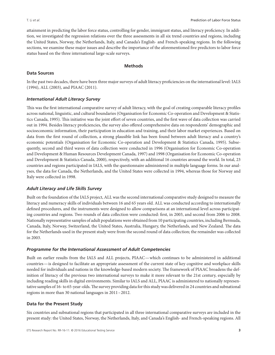attainment in predicting the labor force status, controlling for gender, immigrant status, and literacy proficiency. In addition, we investigated the regression relations over the three assessments in all six trend countries and regions, including the United States, Norway, the Netherlands, Italy, and Canada's English- and French-speaking regions. In the following sections, we examine these major issues and describe the importance of the aforementioned five predictors to labor force status based on the three international large-scale surveys.

#### **Methods**

#### **Data Sources**

In the past two decades, there have been three major surveys of adult literacy proficiencies on the international level: IALS (1994), ALL (2003), and PIAAC (2011).

#### *International Adult Literacy Survey*

This was the first international comparative survey of adult literacy, with the goal of creating comparable literacy profiles across national, linguistic, and cultural boundaries (Organisation for Economic Co-operation and Development & Statistics Canada, 1995). This initiative was the joint effort of seven countries, and the first wave of data collection was carried out in 1994. Besides literacy proficiencies, the survey also offered comprehensive data on respondents' demographic and socioeconomic information, their participation in education and training, and their labor market experiences. Based on data from the first round of collection, a strong plausible link has been found between adult literacy and a country's economic potentials (Organisation for Economic Co-operation and Development & Statistics Canada, 1995). Subsequently, second and third waves of data collection were conducted in 1996 (Organisation for Economic Co-operation and Development & Human Resources Development Canada, 1997) and 1998 (Organisation for Economic Co-operation and Development & Statistics Canada, 2000), respectively, with an additional 16 countries around the world. In total, 23 countries and regions participated in IALS, with the questionnaire administered in multiple language forms. In our analyses, the data for Canada, the Netherlands, and the United States were collected in 1994, whereas those for Norway and Italy were collected in 1998.

#### *Adult Literacy and Life Skills Survey*

Built on the foundation of the IALS project, ALL was the second international comparative study designed to measure the literacy and numeracy skills of individuals between 16 and 65 years old. ALL was conducted according to internationally defined procedures, and the instruments were designed to allow comparisons at an international level across participating countries and regions. Two rounds of data collection were conducted: first, in 2003, and second from 2006 to 2008. Nationally representative samples of adult populations were obtained from 10 participating countries, including Bermuda, Canada, Italy, Norway, Switzerland, the United States, Australia, Hungary, the Netherlands, and New Zealand. The data for the Netherlands used in the present study were from the second round of data collection; the remainder was collected in 2003.

#### *Programme for the International Assessment of Adult Competencies*

Built on earlier results from the IALS and ALL projects, PIAAC—which continues to be administered in additional countries—is designed to facilitate an appropriate assessment of the current state of key cognitive and workplace skills needed for individuals and nations in the knowledge-based modern society. The framework of PIAAC broadens the definition of literacy of the previous two international surveys to make it more relevant to the 21st century, especially by including reading skills in digital environments. Similar to IALS and ALL, PIAAC is administered to nationally representative samples of 16- to 65-year-olds. The survey providing data for this study was delivered in 24 countries and subnational regions in more than 30 national languages in 2011–2012.

#### **Data for the Present Study**

Six countries and subnational regions that participated in all three international comparative surveys are included in the present study: the United States, Norway, the Netherlands, Italy, and Canada's English- and French-speaking regions. All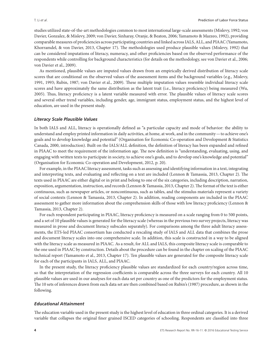studies utilized state-of-the-art methodologies common to most international large-scale assessments (Mislevy, 1992; von Davier, Gonzalez, & Mislevy, 2009; von Davier, Sinharay, Oranje, & Beaton, 2006; Yamamoto & Mazzeo, 1992), providing comparable measures of proficiencies across participating countries and linked across IALS, ALL, and PIAAC (Yamamoto, Khorramdel, & von Davier, 2013, Chapter 17). The methodologies used produce plausible values (Mislevy, 1992) that can be considered imputations of literacy, numeracy, and other proficiencies based on the observed performance of the respondents while controlling for background characteristics (for details on the methodology, see von Davier et al., 2006; von Davier et al., 2009).

As mentioned, plausible values are imputed values drawn from an empirically derived distribution of literacy scale scores that are conditional on the observed values of the assessment items and the background variables (e.g., Mislevy, 1991, 1993; Rubin, 1987; von Davier et al., 2009). These multiple imputation values resemble individual literacy scale scores and have approximately the same distribution as the latent trait (i.e., literacy proficiency) being measured (Wu, 2005). Thus, literacy proficiency is a latent variable measured with error. The plausible values of literacy scale scores and several other trend variables, including gender, age, immigrant status, employment status, and the highest level of education, are used in the present study.

#### *Literacy Scale Plausible Values*

In both IALS and ALL, literacy is operationally defined as "a particular capacity and mode of behavior: the ability to understand and employ printed information in daily activities, at home, at work, and in the community— to achieve one's goals and to develop knowledge and potential" (Organisation for Economic Co-operation and Development & Statistics Canada, 2000, introduction). Built on the IALS/ALL definition, the definition of literacy has been expanded and refined in PIAAC to meet the requirement of the information age. The new definition is "understanding, evaluating, using, and engaging with written texts to participate in society, to achieve one's goals, and to develop one's knowledge and potential" (Organisation for Economic Co-operation and Development, 2012, p. 20).

For example, in the PIAAC literacy assessment, tasks such as assessing and identifying information in a text, integrating and interpreting texts, and evaluating and reflecting on a text are included (Lennon & Tamassia, 2013, Chapter 2). The texts used in PIAAC are either digital or in print and belong to one of the six categories, including description, narration, exposition, argumentation, instruction, and records (Lennon & Tamassia, 2013, Chapter 2). The format of the text is either continuous, such as newspaper articles, or noncontinuous, such as tables, and the stimulus materials represent a variety of social contexts (Lennon & Tamassia, 2013, Chapter 2). In addition, reading components are included in the PIAAC assessment to gather more information about the comprehension skills of those with low literacy proficiency (Lennon & Tamassia, 2013, Chapter 2).

For each respondent participating in PIAAC, literacy proficiency is measured on a scale ranging from 0 to 500 points, and a set of 10 plausible values is generated for the literacy scale (whereas in the previous two survey projects, literacy was measured in prose and document literacy subscales separately). For comparisons among the three adult literacy assessments, the ETS-led PIAAC consortium has conducted a rescaling study of IALS and ALL data that combines the prose and document literacy scales into one comprehensive scale. In addition, this scale is constructed in a way to be aligned with the literacy scale as measured in PIAAC. As a result, for ALL and IALS, this composite literacy scale is comparable to the one used in PIAAC by construction. Details about the procedure can be found in the chapter on scaling of the PIAAC technical report (Yamamoto et al., 2013, Chapter 17). Ten plausible values are generated for the composite literacy scale for each of the participants in IALS, ALL, and PIAAC.

In the present study, the literacy proficiency plausible values are standardized for each country/region across time, so that the interpretation of the regression coefficients is comparable across the three surveys for each country. All 10 plausible values are used in our analyses for each data set per country as one of the predictors for the employment status. The 10 sets of inferences drawn from each data set are then combined based on Rubin's (1987) procedure, as shown in the following.

#### *Educational Attainment*

The education variable used in the present study is the highest level of education in three ordinal categories. It is a derived variable that collapses the original finer grained ISCED categories of schooling. Respondents are classified into three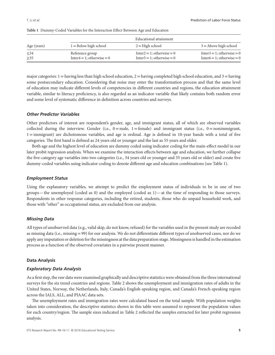|                  |                                              | Educational attainment                                     |                                                            |  |  |
|------------------|----------------------------------------------|------------------------------------------------------------|------------------------------------------------------------|--|--|
| Age (years)      | $1 =$ Below high school                      | $2 =$ High school                                          | $3 =$ Above high school                                    |  |  |
| $\leq 34$<br>>35 | Reference group<br>Inter4 = 1; otherwise = 0 | Inter2 = 1; otherwise = 0<br>Inter $5 = 1$ ; otherwise = 0 | Inter3 = 1; otherwise = 0<br>Inter $6 = 1$ ; otherwise = 0 |  |  |

**Table 1** Dummy-Coded Variables for the Interaction Effect Between Age and Education

major categories:  $1 =$ having less than high school education,  $2 =$ having completed high school education, and  $3 =$ having some postsecondary education. Considering that noise may enter the transformation process and that the same level of education may indicate different levels of competencies in different countries and regions, the education attainment variable, similar to literacy proficiency, is also regarded as an indicator variable that likely contains both random error and some level of systematic difference in definition across countries and surveys.

#### *Other Predictor Variables*

Other predictors of interest are respondent's gender, age, and immigrant status, all of which are observed variables collected during the interview. Gender (i.e.,  $0 =$  male,  $1 =$  female) and immigrant status (i.e.,  $0 =$  nonimmigrant, 1=immigrant) are dichotomous variables, and age is ordinal. Age is defined in 10-year bands with a total of five categories. The first band is defined as 24 years old or younger and the last as 55 years and older.

Both age and the highest level of education are dummy coded using indicator coding for the main-effect model in our later probit regression analysis. When we examine the interaction effects between age and education, we further collapse the five-category age variables into two categories (i.e., 34 years old or younger and 35 years old or older) and create five dummy-coded variables using indicator coding to denote different age and education combinations (see Table 1).

#### *Employment Status*

Using the explanatory variables, we attempt to predict the employment status of individuals to be in one of two groups— the unemployed (coded as 0) and the employed (coded as 1)—at the time of responding to those surveys. Respondents in other response categories, including the retired, students, those who do unpaid household work, and those with "other" as occupational status, are excluded from our analysis.

#### *Missing Data*

All types of unobserved data (e.g., valid skip, do not know, refused) for the variables used in the present study are recoded as missing data (i.e., missing = 99) for our analysis. We do not differentiate different types of unobserved cases, nor do we apply any imputation or deletion for the missingness at the data preparation stage. Missingness is handled in the estimation process as a function of the observed covariates in a pairwise present manner.

#### **Data Analysis**

#### *Exploratory Data Analysis*

As a first step, the raw data were examined graphically and descriptive statistics were obtained from the three international surveys for the six trend countries and regions. Table 2 shows the unemployment and immigration rates of adults in the United States, Norway, the Netherlands, Italy, Canada's English-speaking region, and Canada's French-speaking region across the IALS, ALL, and PIAAC data sets.

The unemployment rates and immigration rates were calculated based on the total sample. With population weights taken into consideration, the descriptive statistics shown in this table were assumed to represent the population values for each country/region. The sample sizes indicated in Table 2 reflected the samples extracted for later probit regression analysis.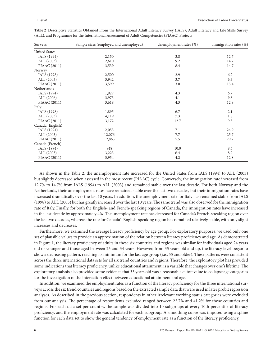| Surveys              | Sample sizes (employed and unemployed) | Unemployment rates (%) | Immigration rates (%) |  |
|----------------------|----------------------------------------|------------------------|-----------------------|--|
| <b>United States</b> |                                        |                        |                       |  |
| IALS (1994)          | 2,150                                  | 3.8                    | 12.7                  |  |
| ALL (2003)           | 2,610                                  | 9.2                    | 14.7                  |  |
| PIAAC (2011)         | 3,539                                  | 8.4                    | 14.7                  |  |
| Norway               |                                        |                        |                       |  |
| IALS (1998)          | 2,500                                  | 2.9                    | 6.2                   |  |
| ALL (2003)           | 3,942                                  | 3.7                    | 6.3                   |  |
| PIAAC (2011)         | 3,599                                  | 3.0                    | 13.4                  |  |
| Netherlands          |                                        |                        |                       |  |
| IALS (1994)          | 1,927                                  | 4.3                    | 6.7                   |  |
| ALL (2006)           | 3,973                                  | 4.1                    | 9.8                   |  |
| PIAAC (2011)         | 3,618                                  | 4.3                    | 12.9                  |  |
| Italy                |                                        |                        |                       |  |
| IALS (1998)          | 1,895                                  | 6.7                    | 2.1                   |  |
| ALL (2003)           | 4,119                                  | 7.3                    | 1.8                   |  |
| PIAAC (2011)         | 3,172                                  | 12.7                   | 9.3                   |  |
| Canada (English)     |                                        |                        |                       |  |
| IALS (1994)          | 2,053                                  | 7.1                    | 24.9                  |  |
| ALL (2003)           | 12,076                                 | 7.7                    | 25.7                  |  |
| PIAAC (2011)         | 12,865                                 | 5.5                    | 29.2                  |  |
| Canada (French)      |                                        |                        |                       |  |
| IALS (1994)          | 848                                    | 10.0                   | 8.6                   |  |
| ALL (2003)           | 3,223                                  | 6.4                    | 8.2                   |  |
| PIAAC (2011)         | 3,954                                  | 4.2                    | 12.8                  |  |

**Table 2** Descriptive Statistics Obtained From the International Adult Literacy Survey (IALS), Adult Literacy and Life Skills Survey (ALL), and Programme for the International Assessment of Adult Competencies (PIAAC) Projects

As shown in the Table 2, the unemployment rate increased for the United States from IALS (1994) to ALL (2003) but slightly decreased when assessed in the most recent (PIAAC) cycle. Conversely, the immigration rate increased from 12.7% to 14.7% from IALS (1994) to ALL (2003) and remained stable over the last decade. For both Norway and the Netherlands, their unemployment rates have remained stable over the last two decades, but their immigration rates have increased dramatically over the last 10 years. In addition, the unemployment rate for Italy has remained stable from IALS (1998) to ALL (2003) but has greatly increased over the last 10 years.The same trend was also observed for the immigration rate of Italy. Finally, for both the English- and French-speaking regions of Canada, the immigration rates have increased in the last decade by approximately 4%. The unemployment rate has decreased for Canada's French-speaking region over the last two decades, whereas the rate for Canada's English-speaking region has remained relatively stable, with only slight increases and decreases.

Furthermore, we examined the average literacy proficiency by age group. For exploratory purposes, we used only one set of plausible values to provide an approximation of the relation between literacy proficiency and age. As demonstrated in Figure 1, the literacy proficiency of adults in these six countries and regions was similar for individuals aged 24 years old or younger and those aged between 25 and 34 years. However, from 35 years old and up, the literacy level began to show a decreasing pattern, reaching its minimum for the last age group (i.e., 55 and older). These patterns were consistent across the three international data sets for all six trend countries and regions. Therefore, the exploratory plot has provided some indications that literacy proficiency, unlike educational attainment, is a variable that changes over one's lifetime. The exploratory analysis also provided some evidence that 35 years old was a reasonable cutoff value to collapse age categories for the investigation of the interaction effect between educational attainment and age.

In addition, we examined the employment rates as a function of the literacy proficiency for the three international surveys across the six trend countries and regions based on the extracted sample data that were used in later probit regression analyses. As described in the previous section, respondents in other irrelevant working status categories were excluded from our analysis. The percentage of respondents excluded ranged between 22.7% and 41.2% for those countries and regions. For each data set per country, the sample was divided into 10 subgroups at every 10th percentile of literacy proficiency, and the employment rate was calculated for each subgroup. A smoothing curve was imposed using a spline function for each data set to show the general tendency of employment rate as a function of the literacy proficiency.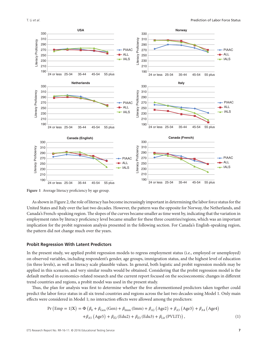

**Figure 1** Average literacy proficiency by age group.

As shown in Figure 2, the role of literacy has become increasingly important in determining the labor force status for the United States and Italy over the last two decades. However, the pattern was the opposite for Norway, the Netherlands, and Canada's French-speaking region. The slopes of the curves became smaller as time went by, indicating that the variation in employment rates by literacy proficiency level became smaller for these three countries/regions, which was an important implication for the probit regression analysis presented in the following section. For Canada's English-speaking region, the pattern did not change much over the years.

#### **Probit Regression With Latent Predictors**

In the present study, we applied probit regression models to regress employment status (i.e., employed or unemployed) on observed variables, including respondent's gender, age groups, immigration status, and the highest level of education (in three levels), as well as literacy scale plausible values. In general, both logistic and probit regression models may be applied in this scenario, and very similar results would be obtained. Considering that the probit regression model is the default method in economics-related research and the current report focused on the socioeconomic changes in different trend countries and regions, a probit model was used in the present study.

Thus, the plan for analysis was first to determine whether the five aforementioned predictors taken together could predict the labor force status in all six trend countries and regions across the last two decades using Model 1. Only main effects were considered in Model 1; no interaction effects were allowed among the predictors:

$$
Pr (Emp = 1|X) = \Phi (\beta_0 + \beta_{Gen} (Gen) + \beta_{Imm} (Imm) + \beta_{A2} (Age2) + \beta_{A3} (Age3) + \beta_{A4} (Age4) + \beta_{A5} (Age5) + \beta_{E2} (Edu2) + \beta_{Es} (Edu3) + \beta_{Lit} (PVLIT)),
$$
\n(1)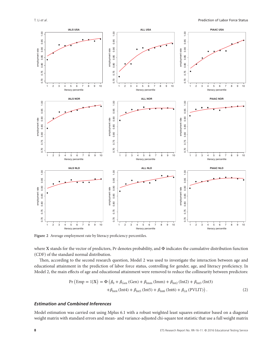

**Figure 2** Average employment rate by literacy proficiency percentiles.

where **X** stands for the vector of predictors, Pr denotes probability, and Φ indicates the cumulative distribution function (CDF) of the standard normal distribution.

Then, according to the second research question, Model 2 was used to investigate the interaction between age and educational attainment in the prediction of labor force status, controlling for gender, age, and literacy proficiency. In Model 2, the main effects of age and educational attainment were removed to reduce the collinearity between predictors:

$$
Pr (Emp = 1|X) = \Phi (\beta_0 + \beta_{Gen} (Gen) + \beta_{Imm} (Imm) + \beta_{Int2} (Int2) + \beta_{Int3} (Int3) + \beta_{Int4} (Int4) + \beta_{Int5} (Int5) + \beta_{Int6} (Int6) + \beta_{Lit} (PVLIT)).
$$
\n(2)

#### *Estimation and Combined Inferences*

Model estimation was carried out using Mplus 6.1 with a robust weighted least squares estimator based on a diagonal weight matrix with standard errors and mean- and variance-adjusted chi-square test statistic that use a full weight matrix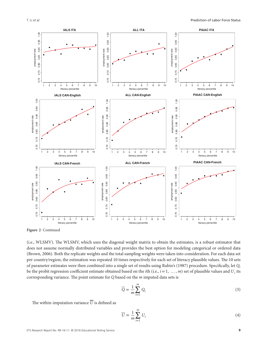

**Figure 2** Continued

(i.e., WLSMV). The WLSMV, which uses the diagonal weight matrix to obtain the estimates, is a robust estimator that does not assume normally distributed variables and provides the best option for modeling categorical or ordered data (Brown, 2006). Both the replicate weights and the total sampling weights were taken into consideration. For each data set per country/region, the estimation was repeated 10 times respectively for each set of literacy plausible values. The 10 sets of parameter estimates were then combined into a single set of results using Rubin's (1987) procedure. Specifically, let *Qi* be the probit regression coefficient estimate obtained based on the *i*th (i.e.,  $i = 1, ..., m$ ) set of plausible values and  $U_i$  its corresponding variance. The point estimate for *Q* based on the *m* imputed data sets is

$$
\overline{Q} = \frac{1}{m} \sum_{i=1}^{m} Q_i
$$
\n(3)

The within-imputation variance  $\overline{U}$  is defined as

$$
\overline{U} = \frac{1}{m} \sum_{i=1}^{m} U_i
$$
\n(4)

ETS Research Report No. RR-16-11. © 2016 Educational Testing Service **9**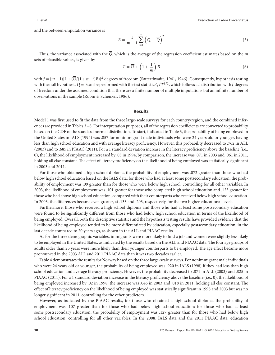and the between-imputation variance is

$$
B = \frac{1}{m-1} \sum_{i=1}^{m} \left( Q_i - \overline{Q} \right)^2 \tag{5}
$$

Thus, the variance associated with the *Q*, which is the average of the regression coefficient estimates based on the *m* sets of plausible values, is given by

$$
T = \overline{U} + \left(1 + \frac{1}{m}\right)B\tag{6}
$$

with  $f = (m-1)[1+(\overline{U}/(1+m^{-1})B)]^2$  degrees of freedom (Satterthwaite, 1941, 1946). Consequently, hypothesis testing with the null hypothesis *Q* = 0 can be performed with the test statistic  $\overline{Q}/T^{1/2}$ , which follows a *t*-distribution with *f* degrees of freedom under the assumed condition that there are a finite number of multiple imputations but an infinite number of observations in the sample (Rubin & Schenker, 1986).

#### **Results**

Model 1 was first used to fit the data from the three large-scale surveys for each country/region, and the combined inferences are provided in Tables 3–8. For interpretation purposes, all of the regression coefficients are converted to probability based on the CDF of the standard normal distribution. To start, indicated in Table 3, the probability of being employed in the United States in IALS (1994) was .857 for nonimmigrant male individuals who were 24 years old or younger, having less than high school education and with average literacy proficiency. However, this probability decreased to .762 in ALL (2003) and to .685 in PIAAC (2011). For a 1 standard deviation increase in the literacy proficiency above the baseline (i.e., 0), the likelihood of employment increased by .03 in 1994; by comparison, the increase was .071 in 2003 and .061 in 2011, holding all else constant. The effect of literacy proficiency on the likelihood of being employed was statistically significant in 2003 and 2011.

For those who obtained a high school diploma, the probability of employment was .072 greater than those who had below high school education based on the IALS data; for those who had at least some postsecondary education, the probability of employment was .09 greater than for those who were below high school, controlling for all other variables. In 2003, the likelihood of employment was .101 greater for those who completed high school education and .125 greater for those who had above high school education, compared with their counterparts who received below high school education. In 2003, the differences became even greater, at .133 and .203, respectively, for the two higher educational levels.

Furthermore, those who received a high school diploma and those who had at least some postsecondary education were found to be significantly different from those who had below high school education in terms of the likelihood of being employed. Overall, both the descriptive statistics and the hypothesis testing results have provided evidence that the likelihood of being employed tended to be more differentiated by education, especially postsecondary education, in the last decade compared to 20 years ago, as shown in the ALL and PIAAC results.

As for the three demographic variables, immigrants were more likely to find a job and women were slightly less likely to be employed in the United States, as indicated by the results based on the ALL and PIAAC data. The four age groups of adults older than 25 years were more likely than their younger counterparts to be employed. The age effect became more pronounced in the 2003 ALL and 2011 PIAAC data than it was two decades earlier.

Table 4 demonstrates the results for Norway based on the three large-scale surveys. For nonimmigrant male individuals who were 24 years old or younger, the probability of being employed was .920 in IALS (1998) if they had less than high school education and average literacy proficiency. However, the probability decreased to .871 in ALL (2003) and .825 in PIAAC (2011). For a 1 standard deviation increase in the literacy proficiency above the baseline (i.e., 0), the likelihood of being employed increased by .02 in 1998; the increase was .046 in 2003 and .018 in 2011, holding all else constant. The effect of literacy proficiency on the likelihood of being employed was statistically significant in 1998 and 2003 but was no longer significant in 2011, controlling for the other predictors.

However, as indicated by the PIAAC results, for those who obtained a high school diploma, the probability of employment was .107 greater than for those who had below high school education; for those who had at least some postsecondary education, the probability of employment was .127 greater than for those who had below high school education, controlling for all other variables. In the 2008, IALS data and the 2011 PIAAC data, education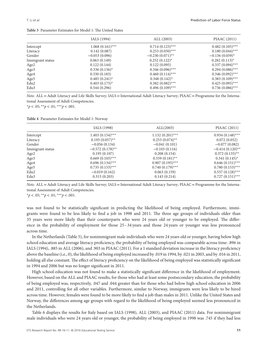| Table 3 Parameter Estimates for Model 1: The United States |  |  |  |  |
|------------------------------------------------------------|--|--|--|--|
|                                                            |  |  |  |  |

|                  | IALS (1994)        | ALL (2003)         | PIAAC (2011)        |
|------------------|--------------------|--------------------|---------------------|
| Intercept        | $1.068(0.161)$ *** | $0.714(0.123)$ *** | $0.482(0.105)$ ***  |
| Literacy         | 0.142(0.087)       | $0.253(0.050)$ *** | $0.180(0.044)$ ***  |
| Gender           | $-0.053(0.096)$    | $-0.230(0.071)$ ** | $-0.136(0.059)^{*}$ |
| Immigrant status | 0.063(0.149)       | $0.252(0.122)^{*}$ | $0.282(0.113)^*$    |
| Age2             | 0.122(0.144)       | 0.122(0.095)       | $0.337(0.094)$ ***  |
| Age3             | $0.336(0.156)^*$   | $0.346(0.096)$ *** | $0.294(0.086)$ ***  |
| Age4             | 0.330(0.183)       | $0.460(0.114)$ *** | $0.346(0.092)$ ***  |
| Age5             | $0.485(0.241)^{*}$ | $0.348(0.142)^{*}$ | $0.383(0.109)$ ***  |
| Edu2             | $0.403(0.173)^{*}$ | $0.382(0.082)$ *** | $0.425(0.095)$ ***  |
| Edu <sub>3</sub> | 0.544(0.296)       | $0.496(0.109)$ *** | $0.736(0.086)$ ***  |

\**p<*.05; \*\**p<*.01; \*\*\**p<*.001.

**Table 4** Parameter Estimates for Model 1: Norway

|                  | IALS (1998)        | ALL(2003)          | PIAAC (2011)                  |
|------------------|--------------------|--------------------|-------------------------------|
| Intercept        | $1.403(0.154)$ *** | $1.132(0.201)$ *** | $0.934(0.148)$ ***            |
| Literacy         | $0.193(0.057)$ **  | $0.253(0.074)$ **  | 0.072(0.052)                  |
| Gender           | $-0.056(0.134)$    | $-0.041(0.101)$    | $-0.077(0.082)$               |
| Immigrant status | $-0.572(0.178)$ ** | $-0.103(0.116)$    | $-0.414(0.120)$ <sup>**</sup> |
| Age2             | 0.195(0.107)       | 0.208(0.154)       | $0.372(0.135)$ **             |
| Age3             | $0.669(0.103)$ *** | $0.559(0.181)$ **  | $0.341(0.145)^{*}$            |
| Age4             | $0.696(0.134)$ *** | $0.907(0.195)$ *** | $0.646(0.151)$ ***            |
| Age5             | $0.735(0.153)$ *** | $0.740(0.179)$ *** | $0.780(0.153)$ ***            |
| Edu2             | $-0.019(0.162)$    | 0.063(0.159)       | $0.557(0.128)$ ***            |
| Edu <sub>3</sub> | 0.315(0.203)       | 0.143(0.214)       | $0.727(0.151)$ ***            |

*Note.* ALL = Adult Literacy and Life Skills Survey; IALS = International Adult Literacy Survey; PIAAC = Programme for the International Assessment of Adult Competencies.

\**p<*.05; \*\**p<*.01; \*\*\**p<*.001.

was not found to be statistically significant in predicting the likelihood of being employed. Furthermore, immigrants were found to be less likely to find a job in 1998 and 2011. The three age groups of individuals older than 35 years were more likely than their counterparts who were 24 years old or younger to be employed. The difference in the probability of employment for those 25–34 years and those 24 years or younger was less pronounced across time.

In the Netherlands (Table 5), for nonimmigrant male individuals who were 24 years old or younger, having below high school education and average literacy proficiency, the probability of being employed was comparable across time: .896 in IALS (1994), .885 in ALL (2006), and .903 in PIAAC (2011). For a 1 standard deviation increase in the literacy proficiency above the baseline (i.e., 0), the likelihood of being employed increased by .019 in 1994, by .021 in 2003, and by .016 in 2011, holding all else constant. The effect of literacy proficiency on the likelihood of being employed was statistically significant in 1994 and 2006 but was no longer significant in 2011.

High school education was not found to make a statistically significant difference in the likelihood of employment. However, based on the ALL and PIAAC results, for those who had at least some postsecondary education, the probability of being employed was, respectively, .047 and .044 greater than for those who had below high school education in 2006 and 2011, controlling for all other variables. Furthermore, similar to Norway, immigrants were less likely to be hired across time. However, females were found to be more likely to find a job than males in 2011. Unlike the United States and Norway, the differences among age groups with regard to the likelihood of being employed seemed less pronounced in the Netherlands.

Table 6 displays the results for Italy based on IALS (1998), ALL (2003), and PIAAC (2011) data. For nonimmigrant male individuals who were 24 years old or younger, the probability of being employed in 1998 was .745 if they had less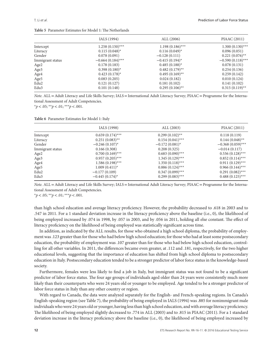|                  | IALS (1994)         | ALL (2006)          | PIAAC (2011)        |
|------------------|---------------------|---------------------|---------------------|
| Intercept        | $1.258(0.150)$ ***  | $1.198(0.186)$ ***  | $1.300(0.130)$ ***  |
| Literacy         | $0.115(0.048)^*$    | $0.116(0.049)^*$    | 0.096(0.051)        |
| Gender           | 0.078(0.091)        | $-0.128(0.111)$     | $0.221(0.076)$ **   |
| Immigrant status | $-0.664(0.184)$ *** | $-0.415(0.194)^{*}$ | $-0.590(0.118)$ *** |
| Age2             | 0.178(0.183)        | $0.485(0.188)^*$    | 0.078(0.131)        |
| Age3             | $0.398(0.180)^{*}$  | $0.482(0.179)$ **   | 0.254(0.136)        |
| Age4             | $0.423(0.178)$ *    | $0.495(0.169)$ **   | 0.259(0.142)        |
| Age5             | 0.083(0.205)        | 0.024(0.182)        | 0.010(0.124)        |
| Edu2             | 0.121(0.127)        | 0.181(0.102)        | 0.141(0.102)        |
| Edu3             | 0.101(0.148)        | $0.295(0.106)$ **   | $0.315(0.119)$ **   |
|                  |                     |                     |                     |

**Table 5** Parameter Estimates for Model 1: The Netherlands

\**p<*.05; \*\**p<*.01; \*\*\**p<*.001.

**Table 6** Parameter Estimates for Model 1: Italy

|                  | IALS (1998)         | ALL(2003)           | PIAAC (2011)                 |
|------------------|---------------------|---------------------|------------------------------|
| Intercept        | $0.659(0.174)$ ***  | $0.299(0.102)$ **   | 0.118(0.119)                 |
| Literacy         | $0.251(0.083)$ **   | $0.154(0.041)$ ***  | $0.144(0.048)$ <sup>**</sup> |
| Gender           | $-0.246(0.107)^{*}$ | $-0.172(0.081)^{*}$ | $-0.368(0.059)$ ***          |
| Immigrant status | 0.166(0.308)        | 0.208(0.325)        | $-0.014(0.117)$              |
| Age2             | $0.700(0.169)$ ***  | $0.683(0.090)$ ***  | $0.536(0.128)$ ***           |
| Age3             | $0.957(0.205)$ ***  | $1.345(0.129)$ ***  | $0.852(0.114)$ ***           |
| Age4             | $1.586(0.198)$ ***  | $1.350(0.118)$ ***  | $0.911(0.129)$ ***           |
| Age5             | $1.009(0.411)^*$    | $0.886(0.124)$ ***  | $0.966(0.144)$ ***           |
| Edu2             | $-0.177(0.109)$     | $0.347(0.099)$ ***  | $0.291(0.082)$ ***           |
| Edu <sub>3</sub> | $-0.445(0.174)^{*}$ | $0.299(0.083)$ ***  | $0.488(0.125)$ ***           |

*Note.* ALL=Adult Literacy and Life Skills Survey; IALS=International Adult Literacy Survey; PIAAC=Programme for the International Assessment of Adult Competencies.

\**p<*.05; \*\**p<*.01; \*\*\**p<*.001.

than high school education and average literacy proficiency. However, the probability decreased to .618 in 2003 and to .547 in 2011. For a 1 standard deviation increase in the literacy proficiency above the baseline (i.e., 0), the likelihood of being employed increased by .074 in 1998, by .057 in 2003, and by .056 in 2011, holding all else constant. The effect of literacy proficiency on the likelihood of being employed was statistically significant across time.

In addition, as indicated by the ALL results, for those who obtained a high school diploma, the probability of employment was .123 greater than for those who had below high school education; for those who had at least some postsecondary education, the probability of employment was .107 greater than for those who had below high school education, controlling for all other variables. In 2011, the differences became even greater, at .112 and .181, respectively, for the two higher educational levels, suggesting that the importance of education has shifted from high school diploma to postsecondary education in Italy. Postsecondary education tended to be a stronger predictor of labor force status in the knowledge-based society.

Furthermore, females were less likely to find a job in Italy, but immigrant status was not found to be a significant predictor of labor force status. The four age groups of individuals aged older than 24 years were consistently much more likely than their counterparts who were 24 years old or younger to be employed. Age tended to be a stronger predictor of labor force status in Italy than any other country or region.

With regard to Canada, the data were analyzed separately for the English- and French-speaking regions. In Canada's English-speaking region (see Table 7), the probability of being employed in IALS (1994) was .885 for nonimmigrant male individuals who were 24 years old or younger, having less than high school education, and with average literacy proficiency. The likelihood of being employed slightly decreased to .774 in ALL (2003) and to .815 in PIAAC (2011). For a 1 standard deviation increase in the literacy proficiency above the baseline (i.e., 0), the likelihood of being employed increased by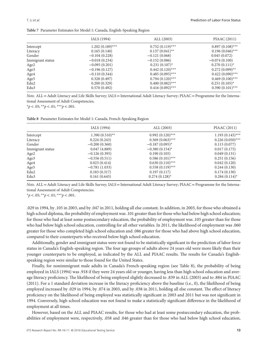|                  | IALS (1994)        | ALL (2003)         | PIAAC (2011)       |
|------------------|--------------------|--------------------|--------------------|
| Intercept        | $1.202(0.189)$ *** | $0.752(0.119)$ *** | $0.897(0.108)$ *** |
| Literacy         | 0.165(0.140)       | $0.137(0.041)$ **  | $0.196(0.046)$ *** |
| Gender           | $-0.104(0.228)$    | $-0.121(0.068)$    | 0.045(0.072)       |
| Immigrant status | $-0.018(0.234)$    | $-0.152(0.086)$    | $-0.074(0.100)$    |
| Age2             | $-0.095(0.201)$    | $0.231(0.107)^{*}$ | $0.270(0.111)^*$   |
| Age3             | $-0.196(0.127)$    | $0.442(0.120)$ *** | $0.272(0.099)$ **  |
| Age4             | $-0.110(0.344)$    | $0.485(0.095)$ *** | $0.422(0.090)$ *** |
| Age5             | 0.328(0.497)       | $0.794(0.120)$ *** | $0.469(0.100)$ *** |
| Edu2             | 0.200(0.329)       | $0.400(0.082)$ *** | $0.251(0.105)^*$   |
| Edu <sub>3</sub> | 0.570(0.492)       | $0.416(0.092)$ *** | $0.390(0.101)$ *** |

**Table 7** Parameter Estimates for Model 1: Canada, English-Speaking Region

\**p<*.05; \*\**p<*.01; \*\*\**p<*.001.

**Table 8** Parameter Estimates for Model 1: Canada, French-Speaking Region

|                  | IALS (1994)       | ALL(2003)                   | PIAAC (2011)       |
|------------------|-------------------|-----------------------------|--------------------|
| Intercept        | $1.390(0.510)$ ** | $0.992(0.120)$ ***          | $1.193(0.145)$ *** |
| Literacy         | 0.224(0.243)      | $0.369(0.063)$ ***          | $0.226(0.050)$ *** |
| Gender           | $-0.200(0.360)$   | $-0.187(0.095)^{*}$         | 0.115(0.077)       |
| Immigrant status | 0.047(4.889)      | $-0.380(0.154)$ *           | 0.017(0.175)       |
| Age2             | $-0.126(0.395)$   | 0.190(0.105)                | 0.049(0.131)       |
| Age3             | $-0.556(0.511)$   | $0.586(0.101)$ ***          | 0.251(0.156)       |
| Age4             | 0.023(0.414)      | $0.630(0.110)$ ***          | 0.042(0.120)       |
| Age <sub>5</sub> | $-0.781(1.033)$   | $0.558(0.119)$ ***          | 0.244(0.130)       |
| Edu2             | 0.183(0.317)      | 0.197(0.117)                | 0.174(0.130)       |
| Edu <sub>3</sub> | 0.161(0.645)      | $0.274(0.128)$ <sup>*</sup> | $0.284(0.114)^{*}$ |

*Note.* ALL = Adult Literacy and Life Skills Survey; IALS = International Adult Literacy Survey; PIAAC = Programme for the International Assessment of Adult Competencies.

\**p<*.05; \*\**p<*.01; \*\*\**p<*.001.

.029 in 1994, by .105 in 2003, and by .047 in 2011, holding all else constant. In addition, in 2003, for those who obtained a high school diploma, the probability of employment was .101 greater than for those who had below high school education; for those who had at least some postsecondary education, the probability of employment was .105 greater than for those who had below high school education, controlling for all other variables. In 2011, the likelihood of employment was .060 greater for those who completed high school education and .086 greater for those who had above high school education, compared to their counterparts who received below high school education.

Additionally, gender and immigrant status were not found to be statistically significant in the prediction of labor force status in Canada's English-speaking region. The four age groups of adults above 24 years old were more likely than their younger counterparts to be employed, as indicated by the ALL and PIAAC results. The results for Canada's Englishspeaking region were similar to those found for the United States.

Finally, for nonimmigrant male adults in Canada's French-speaking region (see Table 8), the probability of being employed in IALS (1994) was .918 if they were 24 years old or younger, having less than high school education and average literacy proficiency. The likelihood of being employed slightly decreased to .839 in ALL (2003) and to .884 in PIAAC (2011). For a 1 standard deviation increase in the literacy proficiency above the baseline (i.e., 0), the likelihood of being employed increased by .029 in 1994, by .074 in 2003, and by .038 in 2011, holding all else constant. The effect of literacy proficiency on the likelihood of being employed was statistically significant in 2003 and 2011 but was not significant in 1994. Conversely, high school education was not found to make a statistically significant difference in the likelihood of employment at all times.

However, based on the ALL and PIAAC results, for those who had at least some postsecondary education, the probabilities of employment were, respectively, .058 and .046 greater than for those who had below high school education,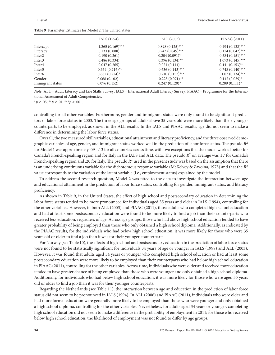|                    | IALS (1994)        | ALL(2003)          | PIAAC (2011)        |
|--------------------|--------------------|--------------------|---------------------|
| Intercept          | $1.265(0.169)$ *** | $0.898(0.125)$ *** | $0.494(0.128)$ ***  |
| Literacy           | 0.133(0.088)       | $0.243(0.049)$ *** | $0.174(0.042)$ ***  |
| Inter <sub>2</sub> | 0.190(0.261)       | $0.204(0.091)^{*}$ | $0.584(0.151)$ ***  |
| Inter <sub>3</sub> | 0.486(0.334)       | $0.396(0.134)$ **  | $1.073(0.145)$ ***  |
| Inter <sub>4</sub> | 0.047(0.265)       | 0.021(0.114)       | $0.441(0.153)$ **   |
| Inter <sub>5</sub> | $0.654(0.216)$ **  | $0.636(0.143)$ *** | $0.748(0.140)$ ***  |
| Inter <sub>6</sub> | $0.687(0.274)$ *   | $0.710(0.152)$ *** | $1.02(0.134)$ ***   |
| Gender             | $-0.068(0.102)$    | $-0.228(0.071)$ ** | $-0.142(0.059)^{*}$ |
| Immigrant status   | 0.076(0.152)       | $0.247(0.120)^{*}$ | $0.289(0.111)^{*}$  |

\**p<*.05; \*\**p<*.01; \*\*\**p<*.001.

controlling for all other variables. Furthermore, gender and immigrant status were only found to be significant predictors of labor force status in 2003. The three age groups of adults above 35 years old were more likely than their younger counterparts to be employed, as shown in the ALL results. In the IALS and PIAAC results, age did not seem to make a difference in determining the labor force status.

Overall, the two measured skill variables, educational attainment and literacy proficiency, and the three observed demographic variables of age, gender, and immigrant status worked well in the prediction of labor force status. The pseudo *R*<sup>2</sup> for Model 1 was approximately .09–.13 for all countries across time, with two exceptions that the model worked better for Canada's French-speaking region and for Italy in the IALS and ALL data. The pseudo *R*<sup>2</sup> on average was .17 for Canada's French-speaking region and .20 for Italy. The pseudo  $R^2$  used in the present study was based on the assumption that there is an underlying continuous variable for the dichotomous response variable (McKelvey & Zavoina, 1975) and that the *R*<sup>2</sup> value corresponds to the variation of the latent variable (i.e., employment status) explained by the model.

To address the second research question, Model 2 was fitted to the data to investigate the interaction between age and educational attainment in the prediction of labor force status, controlling for gender, immigrant status, and literacy proficiency.

As shown in Table 9, in the United States, the effect of high school and postsecondary education in determining the labor force status tended to be more pronounced for individuals aged 35 years and older in IALS (1994), controlling for the other variables. However, in both ALL (2003) and PIAAC (2011), those adults who completed high school education and had at least some postsecondary education were found to be more likely to find a job than their counterparts who received less education, regardless of age. Across age groups, those who had above high school education tended to have greater probability of being employed than those who only obtained a high school diploma. Additionally, as indicated by the PIAAC results, for the individuals who had below high school education, it was more likely for those who were 35 years old or older to find a job than it was for their younger counterparts.

For Norway (see Table 10), the effects of high school and postsecondary education in the prediction of labor force status were not found to be statistically significant for individuals 34 years of age or younger in IALS (1998) and ALL (2003). However, it was found that adults aged 34 years or younger who completed high school education or had at least some postsecondary education were more likely to be employed than their counterparts who had below high school education in PIAAC (2011), controlling for the other variables. Across time, individuals who were older and received more education tended to have greater chance of being employed than those who were younger and only obtained a high school diploma. Additionally, for individuals who had below high school education, it was more likely for those who were aged 35 years old or older to find a job than it was for their younger counterparts.

Regarding the Netherlands (see Table 11), the interaction between age and education in the prediction of labor force status did not seem to be pronounced in IALS (1994). In ALL (2006) and PIAAC (2011), individuals who were older and had more formal education were generally more likely to be employed than those who were younger and only obtained a high school diploma, controlling for the other variables. Nevertheless, for adults aged 34 years or younger, completing high school education did not seem to make a difference in the probability of employment in 2011; for those who received below high school education, the likelihood of employment was not found to differ by age groups.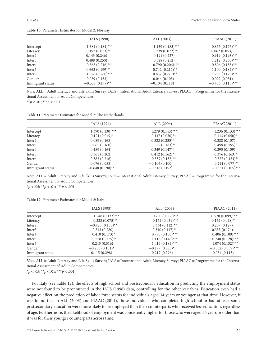|  |  |  |  | Table 10 Parameter Estimates for Model 2: Norway |
|--|--|--|--|--------------------------------------------------|
|--|--|--|--|--------------------------------------------------|

|                    | IALS (1998)        | ALL(2003)          | PIAAC (2011)        |
|--------------------|--------------------|--------------------|---------------------|
| Intercept          | $1.384(0.184)$ *** | $1.139(0.183)$ *** | $0.855(0.176)$ ***  |
| Literacy           | $0.192(0.053)$ **  | $0.239(0.072)$ **  | 0.062(0.053)        |
| Inter <sub>2</sub> | 0.143(0.246)       | 0.191(0.227)       | $0.919(0.193)$ ***  |
| Inter <sub>3</sub> | 0.488(0.250)       | 0.328(0.252)       | $1.212(0.230)$ ***  |
| Inter <sub>4</sub> | $0.865(0.216)$ *** | $0.790(0.206)$ *** | $0.896(0.185)$ ***  |
| Inter <sub>5</sub> | $0.662(0.199)$ **  | $0.742(0.217)$ **  | $1.100(0.182)$ ***  |
| Inter <sub>6</sub> | $1.026(0.260)$ *** | $0.837(0.279)$ **  | $1.289(0.173)$ ***  |
| Gender             | $-0.059(0.133)$    | $-0.044(0.105)$    | $-0.092(0.081)$     |
| Immigrant status   | $-0.558(0.179)$ ** | $-0.104(0.118)$    | $-0.403(0.115)$ *** |

\*\**p* < .01; \*\*\**p* < .001.

**Table 11** Parameter Estimates for Model 2: The Netherlands

|                    | IALS (1994)        | ALL (2006)                   | PIAAC (2011)        |
|--------------------|--------------------|------------------------------|---------------------|
| Intercept          | $1.390(0.130)$ *** | $1.279(0.143)$ ***           | $1.236(0.133)$ ***  |
| Literacy           | $0.121(0.049)^{*}$ | $0.147(0.050)$ <sup>**</sup> | $0.113(0.050)^{*}$  |
| Inter <sub>2</sub> | 0.089(0.168)       | $0.528(0.235)^{*}$           | 0.288(0.157)        |
| Inter <sub>3</sub> | 0.065(0.160)       | $0.575(0.183)$ **            | $0.499(0.195)^{*}$  |
| Inter <sub>4</sub> | 0.189(0.164)       | $0.349(0.147)^{*}$           | 0.295(0.159)        |
| Inter <sub>5</sub> | 0.361(0.202)       | $0.412(0.162)^{*}$           | $0.376(0.163)^{*}$  |
| Inter <sub>6</sub> | 0.382(0.216)       | $0.539(0.135)$ ***           | $0.527(0.154)$ **   |
| Gender             | 0.076(0.088)       | $-0.106(0.100)$              | $0.214(0.077)$ **   |
| Immigrant status   | $-0.648(0.190)$ ** | $-0.318(0.193)$              | $-0.551(0.109)$ *** |

*Note.* ALL = Adult Literacy and Life Skills Survey; IALS = International Adult Literacy Survey; PIAAC = Programme for the International Assessment of Adult Competencies.

\**p<*.05; \*\**p<*.01; \*\*\**p<*.001.

| Table 12 Parameter Estimates for Model 2: Italy |
|-------------------------------------------------|
|-------------------------------------------------|

|                    | IALS (1998)         | ALL (2003)                   | PIAAC (2011)        |
|--------------------|---------------------|------------------------------|---------------------|
| Intercept          | $1.248(0.133)$ ***  | $0.750(0.086)$ ***           | $0.570(0.099)$ ***  |
| Literacy           | $0.228(0.075)$ **   | $0.164(0.039)$ ***           | $0.154(0.048)$ **   |
| Inter <sub>2</sub> | $-0.425(0.150)$ **  | $0.334(0.112)$ **            | 0.207(0.129)        |
| Inter <sub>3</sub> | $-0.513(0.280)$     | $0.310(0.117)$ <sup>**</sup> | $0.355(0.174)^{*}$  |
| Inter <sub>4</sub> | $0.410(0.173)$ *    | $0.780(0.100)$ ***           | $0.406(0.109)$ ***  |
| Inter <sub>5</sub> | $0.558(0.175)$ **   | $1.116(0.146)$ ***           | $0.740(0.128)$ ***  |
| Inter <sub>6</sub> | 0.245(0.316)        | $1.414(0.184)$ ***           | $1.074(0.152)$ ***  |
| Gender             | $-0.236(0.101)^{*}$ | $-0.177(0.083)^{*}$          | $-0.352(0.059)$ *** |
| Immigrant status   | 0.115(0.298)        | 0.217(0.296)                 | $-0.034(0.113)$     |

*Note.* ALL = Adult Literacy and Life Skills Survey; IALS = International Adult Literacy Survey; PIAAC = Programme for the International Assessment of Adult Competencies.

\**p<*.05; \*\**p<*.01; \*\*\**p<*.001.

For Italy (see Table 12), the effects of high school and postsecondary education in predicting the employment status were not found to be pronounced in the IALS (1998) data, controlling for the other variables. Education even had a negative effect on the prediction of labor force status for individuals aged 34 years or younger at that time. However, it was found that in ALL (2003) and PIAAC (2011), those individuals who completed high school or had at least some postsecondary education were more likely to be employed than their counterparts who received less education, regardless of age. Furthermore, the likelihood of employment was consistently higher for those who were aged 35 years or older than it was for their younger counterparts across time.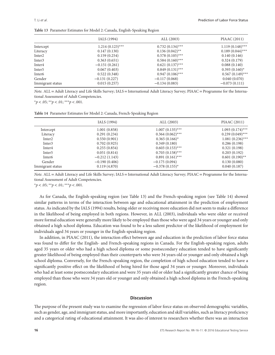| Table 13 Parameter Estimates for Model 2: Canada, English-Speaking Region |  |  |  |  |  |
|---------------------------------------------------------------------------|--|--|--|--|--|
|---------------------------------------------------------------------------|--|--|--|--|--|

|                    | IALS (1994)       | ALL (2003)         | PIAAC (2011)       |
|--------------------|-------------------|--------------------|--------------------|
| Intercept          | $1.214(0.123)***$ | $0.732(0.134)$ *** | $1.119(0.148)$ *** |
| Literacy           | 0.147(0.130)      | $0.136(0.042)$ **  | $0.189(0.044)$ *** |
| Inter <sub>2</sub> | 0.159(0.254)      | $0.578(0.105)$ *** | 0.140(0.146)       |
| Inter <sub>3</sub> | 0.363(0.651)      | $0.584(0.160)$ *** | 0.324(0.179)       |
| Inter <sub>4</sub> | $-0.151(0.261)$   | $0.621(0.137)$ *** | 0.088(0.140)       |
| Inter <sub>5</sub> | 0.067(0.403)      | $0.849(0.131)$ *** | $0.393(0.160)^{*}$ |
| Inter <sub>6</sub> | 0.522(0.348)      | $0.947(0.106)$ *** | $0.567(0.149)$ *** |
| Gender             | $-0.131(0.227)$   | $-0.117(0.068)$    | 0.040(0.070)       |
| Immigrant status   | 0.015(0.257)      | $-0.134(0.083)$    | $-0.073(0.111)$    |

\**p<*.05; \*\**p<*.01; \*\*\**p<*.001.

**Table 14** Parameter Estimates for Model 2: Canada, French-Speaking Region

|                    | IALS (1994)     | ALL(2003)           | PIAAC (2011)       |
|--------------------|-----------------|---------------------|--------------------|
| Intercept          | 1.001(0.858)    | $1.007(0.135)$ ***  | $1.093(0.174)$ *** |
| Literacy           | 0.291(0.234)    | $0.364(0.062)$ ***  | $0.239(0.049)$ *** |
| Inter <sub>2</sub> | 0.550(0.901)    | $0.365(0.166)^*$    | $1.081(0.236)$ *** |
| Inter <sub>3</sub> | 0.702(0.925)    | 0.349(0.180)        | 0.286(0.198)       |
| Inter <sub>4</sub> | 0.255(0.854)    | $0.603(0.153)$ ***  | 0.321(0.198)       |
| Inter <sub>5</sub> | 0.051(0.814)    | $0.703(0.158)$ ***  | 0.203(0.192)       |
| Inter <sub>6</sub> | $-0.212(1.143)$ | $0.891(0.161)$ ***  | $0.601(0.190)$ **  |
| Gender             | $-0.190(0.406)$ | $-0.175(0.094)$     | 0.130(0.080)       |
| Immigrant status   | 0.119(4.870)    | $-0.378(0.155)^{*}$ | 0.040(0.187)       |

*Note.* ALL = Adult Literacy and Life Skills Survey; IALS = International Adult Literacy Survey; PIAAC = Programme for the International Assessment of Adult Competencies.

\**p<*.05; \*\**p<*.01; \*\*\**p<*.001.

As for Canada, the English-speaking region (see Table 13) and the French-speaking region (see Table 14) showed similar patterns in terms of the interaction between age and educational attainment in the prediction of employment status. As indicated by the IALS (1994) results, being older or receiving more education did not seem to make a difference in the likelihood of being employed in both regions. However, in ALL (2003), individuals who were older or received more formal education were generally more likely to be employed than those who were aged 34 years or younger and only obtained a high school diploma. Education was found to be a less salient predictor of the likelihood of employment for individuals aged 34 years or younger in the English-speaking region.

In addition, in PIAAC (2011), the interaction effect between age and education in the prediction of labor force status was found to differ for the English- and French-speaking regions in Canada. For the English-speaking region, adults aged 35 years or older who had a high school diploma or some postsecondary education tended to have significantly greater likelihood of being employed than their counterparts who were 34 years old or younger and only obtained a high school diploma. Conversely, for the French-speaking region, the completion of high school education tended to have a significantly positive effect on the likelihood of being hired for those aged 34 years or younger. Moreover, individuals who had at least some postsecondary education and were 35 years old or older had a significantly greater chance of being employed than those who were 34 years old or younger and only obtained a high school diploma in the French-speaking region.

#### **Discussion**

The purpose of the present study was to examine the regression of labor force status on observed demographic variables, such as gender, age, and immigrant status, and more importantly, education and skill variables, such as literacy proficiency and a categorical rating of educational attainment. It was also of interest to researchers whether there was an interaction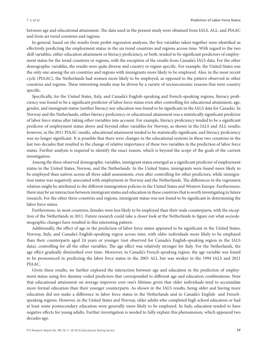between age and educational attainment. The data used in the present study were obtained from IALS, ALL, and PIAAC and from six trend countries and regions.

In general, based on the results from probit regression analyses, the five variables taken together were identified as effectively predicting the employment status in the six trend countries and regions across time. With regard to the two skill variables, either education attainment or literacy proficiency, or both, tended to be significant predictors of employment status for the trend countries or regions, with the exception of the results from Canada's IALS data. For the other demographic variables, the results were quite diverse and country or region specific. For example, the United States was the only one among the six countries and regions with immigrants more likely to be employed. Also, in the most recent cycle (PIAAC), the Netherlands had women more likely to be employed, as opposed to the pattern observed in other countries and regions. These interesting results may be driven by a variety of socioeconomic reasons that were country specific.

Specifically, for the United States, Italy, and Canada's English-speaking and French-speaking regions, literacy proficiency was found to be a significant predictor of labor force status even after controlling for educational attainment, age, gender, and immigrant status (neither literacy nor education was found to be significant in the IALS data for Canada). In Norway and the Netherlands, either literacy proficiency or educational attainment was a statistically significant predictor of labor force status after taking other variables into account. For example, literacy proficiency tended to be a significant predictor of employment status above and beyond other variables for Norway, as shown in the IALS and ALL results; however, in the 2011 PIAAC results, educational attainment tended to be statistically significant, and literacy proficiency was no longer significant. It is possible that there were changes in the educational systems in these two countries in the last two decades that resulted in the change of relative importance of these two variables in the prediction of labor force status. Further analysis is required to identify the exact reason, which is beyond the scope of the goals of the current investigation.

Among the three observed demographic variables, immigrant status emerged as a significant predictor of employment status in the United States, Norway, and the Netherlands. In the United States, immigrants were found more likely to be employed than natives across all three adult assessments, even after controlling for other predictors, while immigration status was negatively associated with employment in Norway and the Netherlands. The differences in the regression relation might be attributed to the different immigration policies in the United States and Western Europe. Furthermore, there may be an interaction between immigrant status and education in these countries that is worth investigating in future research. For the other three countries and regions, immigrant status was not found to be significant in determining the labor force status.

Furthermore, in most countries, females were less likely to be employed than their male counterparts, with the exception of the Netherlands in 2011. Future research could take a closer look at the Netherlands to figure out what sociodemographic changes have resulted in this interesting pattern.

Additionally, the effect of age in the prediction of labor force status appeared to be significant in the United States, Norway, Italy, and Canada's English-speaking region across time, with older individuals more likely to be employed than their counterparts aged 24 years or younger (not observed for Canada's English-speaking region in the IALS data), controlling for all the other variables. The age effect was relatively stronger for Italy. For the Netherlands, the age effect gradually diminished over time. Moreover, in Canada's French-speaking region, the age variable was found to be pronounced in predicting the labor force status in the 2003 ALL but was weaker in the 1994 IALS and 2011 PIAAC.

Given these results, we further explored the interaction between age and education in the prediction of employment status using five dummy-coded predictors that corresponded to different age and education combinations. Note that educational attainment on average improves over one's lifetime given that older individuals tend to accumulate more formal education than their younger counterparts. As shown in the IALS results, being older and having more education did not make a difference in labor force status in the Netherlands and in Canada's English- and Frenchspeaking regions. However, in the United States and Norway, older adults who completed high school education or had at least some postsecondary education were generally more likely to be employed. In Italy, education tended to have negative effects for young adults. Further investigation is needed to fully explain this phenomenon, which appeared two decades ago.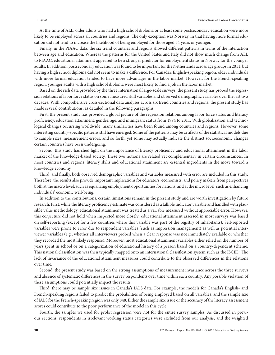At the time of ALL, older adults who had a high school diploma or at least some postsecondary education were more likely to be employed across all countries and regions. The only exception was Norway, in that having more formal education did not tend to increase the likelihood of being employed for those aged 34 years or younger.

Finally, in the PIAAC data, the six trend countries and regions showed different patterns in terms of the interaction between age and education. Whereas the patterns for the United States and Italy did not show much change from ALL to PIAAC, educational attainment appeared to be a stronger predictor for employment status in Norway for the younger adults. In addition, postsecondary education was found to be important for the Netherlands across age groups in 2011, but having a high school diploma did not seem to make a difference. For Canada's English-speaking region, older individuals with more formal education tended to have more advantages in the labor market. However, for the French-speaking region, younger adults with a high school diploma were most likely to find a job in the labor market.

Based on the rich data provided by the three international large-scale surveys, the present study has probed the regression relations of labor force status on some measured skill variables and observed demographic variables over the last two decades. With comprehensive cross-sectional data analyses across six trend countries and regions, the present study has made several contributions, as detailed in the following paragraphs.

First, the present study has provided a global picture of the regression relations among labor force status and literacy proficiency, education attainment, gender, age, and immigrant status from 1994 to 2011. With globalization and technological changes occurring worldwide, many similarities have been found among countries and regions. However, some interesting country-specific patterns still have emerged. Some of the patterns may be artifacts of the statistical models due to sample sizes, measurement errors, and so forth, yet some may actually indicate the distinct socioeconomic changes certain countries have been undergoing.

Second, this study has shed light on the importance of literacy proficiency and educational attainment in the labor market of the knowledge-based society. These two notions are related yet complementary in certain circumstances. In most countries and regions, literacy skills and educational attainment are essential ingredients in the move toward a knowledge economy.

Third, and finally, both observed demographic variables and variables measured with error are included in this study. Therefore, the results also provide important implications for educators, economists, and policy makers from perspectives both at the macro level, such as equalizing employment opportunities for nations, and at the micro level, such as enhancing individuals' economic well-being.

In addition to the contributions, certain limitations remain in the present study and are worth investigation by future research. First, while the literacy proficiency estimate was considered as a fallible indicator variable and handled with plausible value methodology, educational attainment was treated as a variable measured without appreciable error. However, this conjecture did not hold when inspected more closely: educational attainment assessed in most surveys was based on self-reporting (except for a few countries where this variable was part of the registry of inhabitants). Self-reported variables were prone to error due to respondent variables (such as impression management) as well as potential interviewer variables (e.g., whether all interviewers probed when a clear response was not immediately available or whether they recorded the most likely response). Moreover, most educational attainment variables either relied on the number of years spent in school or on a categorization of educational history of a person based on a country-dependent scheme. This national classification was then typically mapped onto an international classification system such as the ISCED. The lack of invariance of the educational attainment measures could contribute to the observed differences in the relations over time.

Second, the present study was based on the strong assumptions of measurement invariance across the three surveys and absence of systematic differences in the survey respondents over time within each country. Any possible violation of these assumptions could potentially impact the results.

Third, there may be sample size issues in Canada's IALS data. For example, the models for Canada's English- and French-speaking regions failed to predict the probabilities of being employed based on all variables, and the sample size of IALS for the French-speaking region was only 848. Either the sample size issue or the accuracy of the literacy assessment scores could contribute to the poor performance of the model in this cycle.

Fourth, the samples we used for probit regression were not for the entire survey samples. As discussed in previous sections, respondents in irrelevant working status categories were excluded from our analysis, and the weighted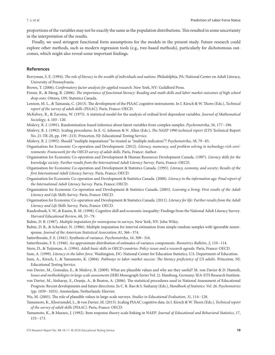proportions of the variables may not be exactly the same as the population distributions.This resulted in some uncertainty in the interpretation of the results.

Finally, we used stringent functional form assumptions for the models in the present study. Future research could explore other methods, such as modern regression tools (e.g., tree-based methods), particularly for dichotomous outcomes, which might also reveal some important findings.

#### **References**

Berryman, S. E. (1994). *The role of literacy in the wealth of individuals and nations*. Philadelphia, PA: National Center on Adult Literacy, University of Pennsylvania.

Brown, T. (2006). *Confirmatory factor analysis for applied research*. New York, NY: Guildford Press.

- Finnie, R., & Meng, R. (2006). *The importance of functional literacy: Reading and math skills and labor market outcomes of high school drop-outs*. Ottawa, ON: Statistics Canada.
- Lennon, M. L., & Tamassia, C. (2013). The development of the PIAAC cognitive instruments. In I. Kirsch & W. Thorn (Eds.), *Technical report of the survey of adult skills (PIAAC)*. Paris, France: OECD.
- McKelvey, R., & Zavoina, W. (1975). A statistical model for the analysis of ordinal level dependent variables. *Journal of Mathematical Sociology*, *4*, 103–120.

Mislevy, R. J. (1991). Randomization-based inference about latent variables from complex samples. *Psychometrika*, *56*, 177–196.

- Mislevy, R. J. (1992). Scaling procedures. In E. G. Johnson & N. Allen (Eds.), *The NAEP 1990 technical report* (ETS Technical Report No. 21-TR-20, pp. 199–213). Princeton, NJ: Educational Testing Service.
- Mislevy, R. J. (1993). Should "multiple imputations" be treated as "multiple indicators"? *Psychometrika*, *58*, 79–85.
- Organisation for Economic Co-operation and Development. (2012). *Literacy, numeracy, and problem solving in technology-rich environments: Framework for the OECD survey of adult skills*. Paris, France: Author.
- Organisation for Economic Co-operation and Development & Human Resources Development Canada. (1997). *Literacy skills for the knowledge society: Further results from the International Adult Literacy Survey*. Paris, France: OECD.
- Organisation for Economic Co-operation and Development & Statistics Canada. (1995). *Literacy, economy, and society: Results of the first International Adult Literacy Survey*. Paris, France: OECD.
- Organisation for Economic Co-operation and Development & Statistics Canada. (2000). *Literacy in the information age: Final report of the International Adult Literacy Survey*. Paris, France: OECD.
- Organisation for Economic Co-operation and Development & Statistics Canada. (2005). *Learning a living: First results of the Adult Literacy and Life Skills Survey*. Paris, France: OECD.
- Organisation for Economic Co-operation and Development & Statistics Canada. (2011). *Literacy for life: Further results from the Adult Literacy and Life Skills Survey*. Paris, France: OECD.
- Raudenbush, S. W., & Kasim, R. M. (1998). Cognitive skill and economic inequality: Findings from the National Adult Literacy Survey. *Harvard Educational Review*, *68*, 33–79.
- Rubin, D. B. (1987). *Multiple imputation for nonresponse in surveys*. New York, NY: John Wiley.
- Rubin, D. B., & Schenker, N. (1986). Multiple imputation for interval estimation from simple random samples with ignorable nonresponse. *Journal of the American Statistical Association*, *81*, 366–374.
- Satterthwaite, F. E. (1941). Synthesis of variance. *Psychometrika*, *16*, 309–316.
- Satterthwaite, F. E. (1946). An approximate distribution of estimates of variance components. *Biometrics Bulletin*, *2*, 110–114.
- Stern, D., & Tuijnman, A. (1994). *Adult basic skills in OECD countries: Policy issues and a research agenda*. Paris, France: OECD.
- Sum, A. (1999). *Literacy in the labor force*. Washington, DC: National Center for Education Statistics, U.S. Department of Education.
- Sum, A., Kirsch, I., & Yamamoto, K. (2004). *Pathways to labor market success: The literacy proficiency of US adults*. Princeton, NJ: Educational Testing Service.
- von Davier, M., Gonzalez, E., & Mislevy, R. (2009). What are plausible values and why are they useful? M. von Davier & D. Hastedt, *Issues and methodologies in large scale assessments* (IERI Monograph Series Vol. 2). Hamburg, Germany: IEA-ETS Research Institute.
- von Davier, M., Sinharay, S., Oranje, A., & Beaton, A. (2006). The statistical procedures used in National Assessment of Educational Progress: Recent developments and future directions. In C. R. Rao & S. Sinharay (Eds.), *Handbook of Statistics: Vol. 26. Psychometrics* (pp. 1039–1055). Amsterdam, Netherlands: Elsevier.
- Wu, M. (2005). The role of plausible values in large-scale surveys. *Studies in Educational Evaluation*, *31*, 114–128.
- Yamamoto, K., Khorramdel, L., & von Davier, M. (2013). Scaling PIAAC cognitive data. In I. Kirsch & W. Thorn (Eds.), *Technical report of the survey of adult skills (PIAAC)*. Paris, France: OECD.
- Yamamoto, K., & Mazzeo, J. (1992). Item response theory scale linking in NAEP. *Journal of Educational and Behavioral Statistics*, *17*, 155–173.